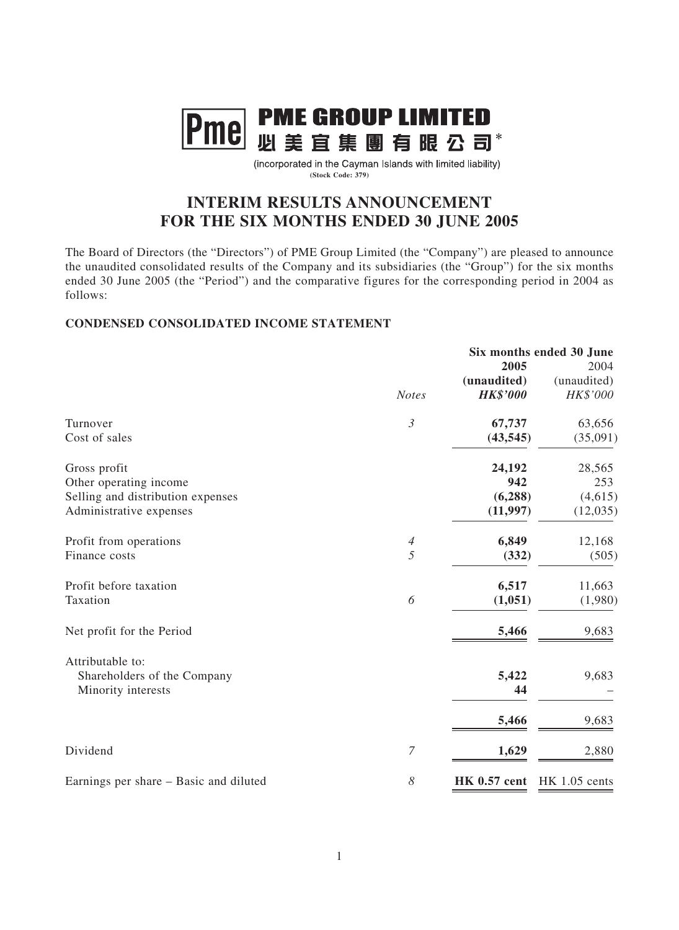

(incorporated in the Cayman Islands with limited liability) **(Stock Code: 379)**

# **INTERIM RESULTS ANNOUNCEMENT FOR THE SIX MONTHS ENDED 30 JUNE 2005**

The Board of Directors (the "Directors") of PME Group Limited (the "Company") are pleased to announce the unaudited consolidated results of the Company and its subsidiaries (the "Group") for the six months ended 30 June 2005 (the "Period") and the comparative figures for the corresponding period in 2004 as follows:

### **CONDENSED CONSOLIDATED INCOME STATEMENT**

|                                        |                |                     | Six months ended 30 June |
|----------------------------------------|----------------|---------------------|--------------------------|
|                                        |                | 2005                | 2004                     |
|                                        |                | (unaudited)         | (unaudited)              |
|                                        | <b>Notes</b>   | <b>HK\$'000</b>     | HK\$'000                 |
| Turnover                               | $\mathfrak{Z}$ | 67,737              | 63,656                   |
| Cost of sales                          |                | (43, 545)           | (35,091)                 |
| Gross profit                           |                | 24,192              | 28,565                   |
| Other operating income                 |                | 942                 | 253                      |
| Selling and distribution expenses      |                | (6, 288)            | (4,615)                  |
| Administrative expenses                |                | (11, 997)           | (12, 035)                |
| Profit from operations                 | $\overline{4}$ | 6,849               | 12,168                   |
| Finance costs                          | $\overline{5}$ | (332)               | (505)                    |
| Profit before taxation                 |                | 6,517               | 11,663                   |
| Taxation                               | 6              | (1,051)             | (1,980)                  |
| Net profit for the Period              |                | 5,466               | 9,683                    |
| Attributable to:                       |                |                     |                          |
| Shareholders of the Company            |                | 5,422               | 9,683                    |
| Minority interests                     |                | 44                  |                          |
|                                        |                | 5,466               | 9,683                    |
| Dividend                               | 7              | 1,629               | 2,880                    |
|                                        |                |                     |                          |
| Earnings per share – Basic and diluted | 8              | <b>HK 0.57 cent</b> | $HK$ 1.05 cents          |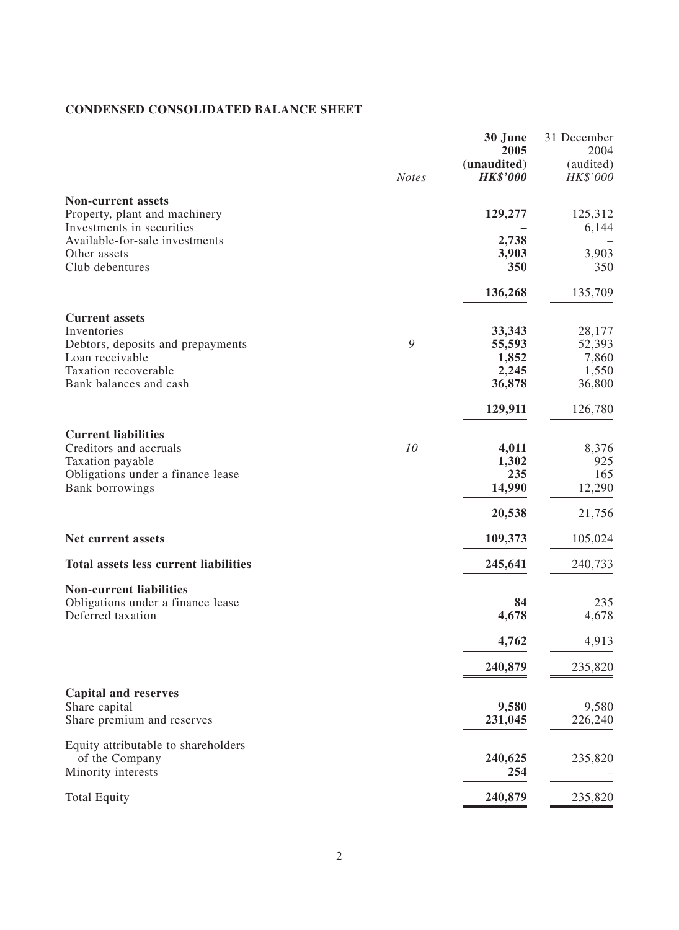# **CONDENSED CONSOLIDATED BALANCE SHEET**

|                                                            |              | 30 June<br>2005                | 31 December<br>2004<br>(audited) |
|------------------------------------------------------------|--------------|--------------------------------|----------------------------------|
|                                                            | <b>Notes</b> | (unaudited)<br><b>HK\$'000</b> | HK\$'000                         |
| <b>Non-current assets</b>                                  |              |                                |                                  |
| Property, plant and machinery<br>Investments in securities |              | 129,277                        | 125,312<br>6,144                 |
| Available-for-sale investments                             |              | 2,738                          |                                  |
| Other assets<br>Club debentures                            |              | 3,903<br>350                   | 3,903<br>350                     |
|                                                            |              | 136,268                        | 135,709                          |
| <b>Current assets</b>                                      |              |                                |                                  |
| Inventories                                                |              | 33,343                         | 28,177                           |
| Debtors, deposits and prepayments                          | 9            | 55,593                         | 52,393                           |
| Loan receivable                                            |              | 1,852                          | 7,860                            |
| Taxation recoverable                                       |              | 2,245                          | 1,550                            |
| Bank balances and cash                                     |              | 36,878                         | 36,800                           |
|                                                            |              | 129,911                        | 126,780                          |
| <b>Current liabilities</b>                                 |              |                                |                                  |
| Creditors and accruals                                     | 10           | 4,011<br>1,302                 | 8,376<br>925                     |
| Taxation payable<br>Obligations under a finance lease      |              | 235                            | 165                              |
| Bank borrowings                                            |              | 14,990                         | 12,290                           |
|                                                            |              | 20,538                         | 21,756                           |
| <b>Net current assets</b>                                  |              | 109,373                        | 105,024                          |
| <b>Total assets less current liabilities</b>               |              | 245,641                        | 240,733                          |
| <b>Non-current liabilities</b>                             |              |                                |                                  |
| Obligations under a finance lease<br>Deferred taxation     |              | 84<br>4,678                    | 235<br>4,678                     |
|                                                            |              |                                |                                  |
|                                                            |              | 4,762                          | 4,913                            |
|                                                            |              | 240,879                        | 235,820                          |
| <b>Capital and reserves</b><br>Share capital               |              | 9,580                          | 9,580                            |
| Share premium and reserves                                 |              | 231,045                        | 226,240                          |
| Equity attributable to shareholders                        |              |                                |                                  |
| of the Company<br>Minority interests                       |              | 240,625<br>254                 | 235,820                          |
| <b>Total Equity</b>                                        |              | 240,879                        | 235,820                          |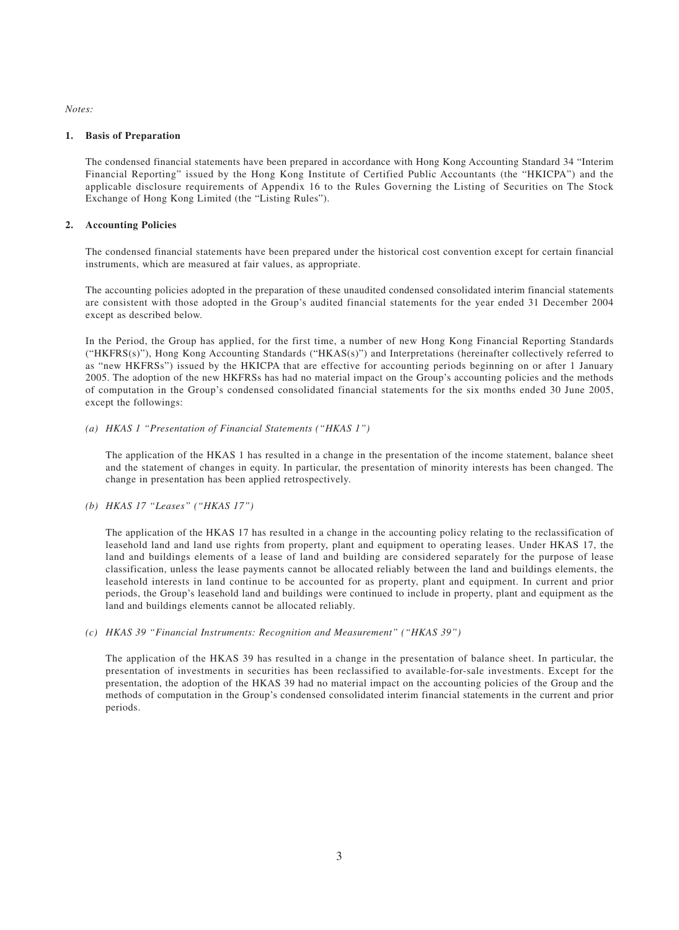*Notes:*

#### **1. Basis of Preparation**

The condensed financial statements have been prepared in accordance with Hong Kong Accounting Standard 34 "Interim Financial Reporting" issued by the Hong Kong Institute of Certified Public Accountants (the "HKICPA") and the applicable disclosure requirements of Appendix 16 to the Rules Governing the Listing of Securities on The Stock Exchange of Hong Kong Limited (the "Listing Rules").

### **2. Accounting Policies**

The condensed financial statements have been prepared under the historical cost convention except for certain financial instruments, which are measured at fair values, as appropriate.

The accounting policies adopted in the preparation of these unaudited condensed consolidated interim financial statements are consistent with those adopted in the Group's audited financial statements for the year ended 31 December 2004 except as described below.

In the Period, the Group has applied, for the first time, a number of new Hong Kong Financial Reporting Standards ("HKFRS(s)"), Hong Kong Accounting Standards ("HKAS(s)") and Interpretations (hereinafter collectively referred to as "new HKFRSs") issued by the HKICPA that are effective for accounting periods beginning on or after 1 January 2005. The adoption of the new HKFRSs has had no material impact on the Group's accounting policies and the methods of computation in the Group's condensed consolidated financial statements for the six months ended 30 June 2005, except the followings:

#### *(a) HKAS 1 "Presentation of Financial Statements ("HKAS 1")*

The application of the HKAS 1 has resulted in a change in the presentation of the income statement, balance sheet and the statement of changes in equity. In particular, the presentation of minority interests has been changed. The change in presentation has been applied retrospectively.

#### *(b) HKAS 17 "Leases" ("HKAS 17")*

The application of the HKAS 17 has resulted in a change in the accounting policy relating to the reclassification of leasehold land and land use rights from property, plant and equipment to operating leases. Under HKAS 17, the land and buildings elements of a lease of land and building are considered separately for the purpose of lease classification, unless the lease payments cannot be allocated reliably between the land and buildings elements, the leasehold interests in land continue to be accounted for as property, plant and equipment. In current and prior periods, the Group's leasehold land and buildings were continued to include in property, plant and equipment as the land and buildings elements cannot be allocated reliably.

#### *(c) HKAS 39 "Financial Instruments: Recognition and Measurement" ("HKAS 39")*

The application of the HKAS 39 has resulted in a change in the presentation of balance sheet. In particular, the presentation of investments in securities has been reclassified to available-for-sale investments. Except for the presentation, the adoption of the HKAS 39 had no material impact on the accounting policies of the Group and the methods of computation in the Group's condensed consolidated interim financial statements in the current and prior periods.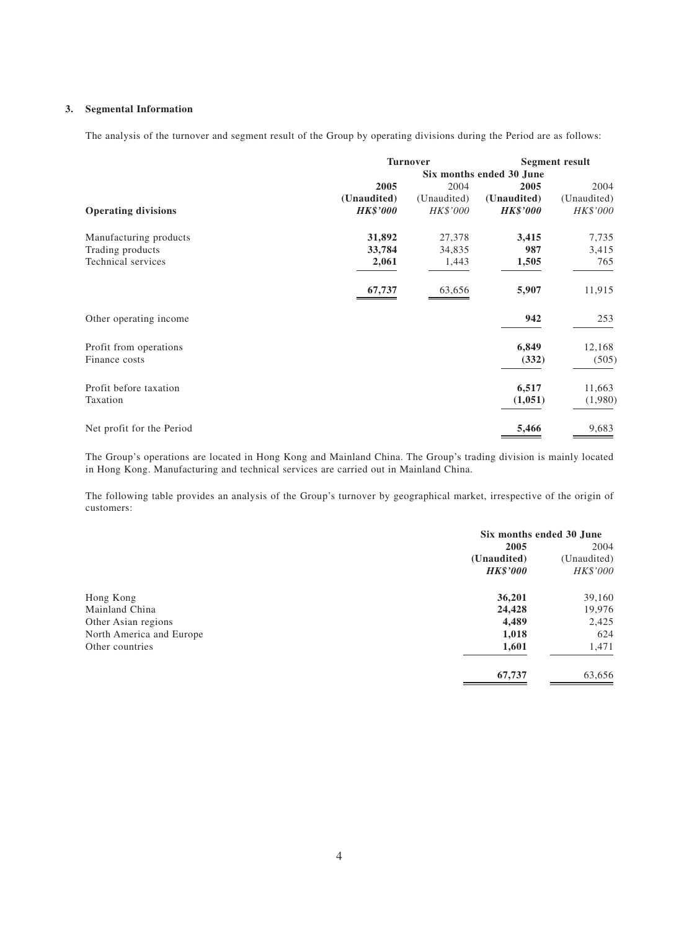#### **3. Segmental Information**

The analysis of the turnover and segment result of the Group by operating divisions during the Period are as follows:

|                            |                          | <b>Turnover</b> |                 | <b>Segment result</b> |
|----------------------------|--------------------------|-----------------|-----------------|-----------------------|
|                            | Six months ended 30 June |                 |                 |                       |
|                            | 2005                     | 2004            | 2005            | 2004                  |
|                            | (Unaudited)              | (Unaudited)     | (Unaudited)     | (Unaudited)           |
| <b>Operating divisions</b> | <b>HK\$'000</b>          | HK\$'000        | <b>HK\$'000</b> | HK\$'000              |
| Manufacturing products     | 31,892                   | 27,378          | 3,415           | 7,735                 |
| Trading products           | 33,784                   | 34,835          | 987             | 3,415                 |
| Technical services         | 2,061                    | 1,443           | 1,505           | 765                   |
|                            | 67,737                   | 63,656          | 5,907           | 11,915                |
| Other operating income     |                          |                 | 942             | 253                   |
| Profit from operations     |                          |                 | 6,849           | 12,168                |
| Finance costs              |                          |                 | (332)           | (505)                 |
| Profit before taxation     |                          |                 | 6,517           | 11,663                |
| Taxation                   |                          |                 | (1,051)         | (1,980)               |
| Net profit for the Period  |                          |                 | 5,466           | 9,683                 |

The Group's operations are located in Hong Kong and Mainland China. The Group's trading division is mainly located in Hong Kong. Manufacturing and technical services are carried out in Mainland China.

The following table provides an analysis of the Group's turnover by geographical market, irrespective of the origin of customers:

|                          | Six months ended 30 June |             |
|--------------------------|--------------------------|-------------|
|                          | 2005                     | 2004        |
|                          | (Unaudited)              | (Unaudited) |
|                          | <b>HK\$'000</b>          | HK\$'000    |
| Hong Kong                | 36,201                   | 39,160      |
| Mainland China           | 24,428                   | 19,976      |
| Other Asian regions      | 4,489                    | 2,425       |
| North America and Europe | 1,018                    | 624         |
| Other countries          | 1,601                    | 1,471       |
|                          | 67,737                   | 63,656      |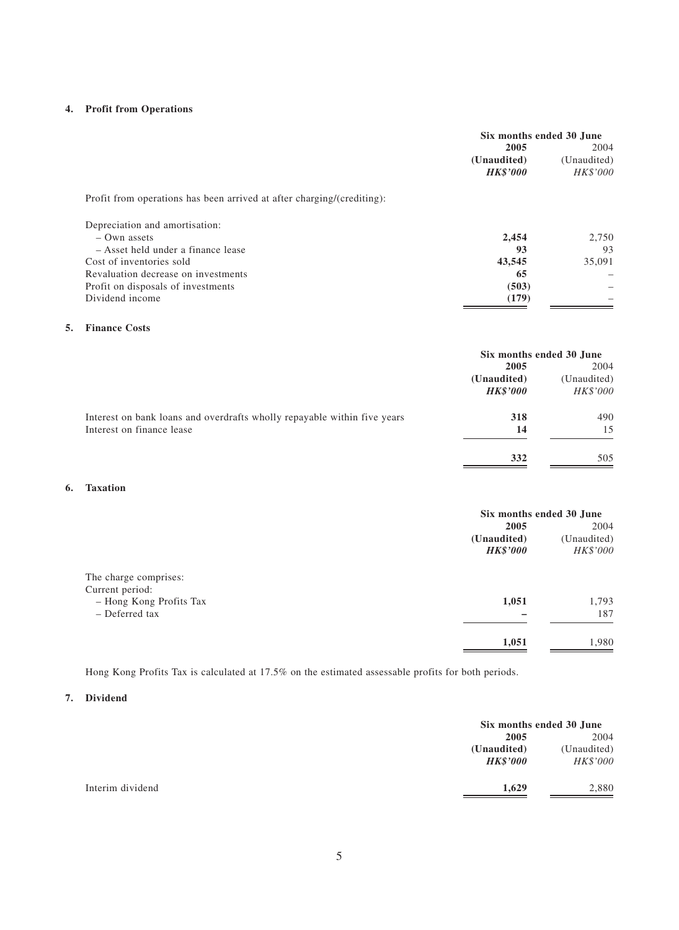#### **4. Profit from Operations**

|    |                                                                        | Six months ended 30 June |             |
|----|------------------------------------------------------------------------|--------------------------|-------------|
|    |                                                                        | 2005                     | 2004        |
|    |                                                                        | (Unaudited)              | (Unaudited) |
|    |                                                                        | <b>HK\$'000</b>          | HK\$'000    |
|    | Profit from operations has been arrived at after charging/(crediting): |                          |             |
|    | Depreciation and amortisation:                                         |                          |             |
|    | $-$ Own assets                                                         | 2,454                    | 2,750       |
|    | - Asset held under a finance lease                                     | 93                       | 93          |
|    | Cost of inventories sold                                               | 43,545                   | 35,091      |
|    | Revaluation decrease on investments                                    | 65                       |             |
|    | Profit on disposals of investments                                     | (503)                    |             |
|    | Dividend income                                                        | (179)                    |             |
| 5. | <b>Finance Costs</b>                                                   |                          |             |
|    |                                                                        | Six months ended 30 June |             |
|    |                                                                        | 2005                     | 2004        |
|    |                                                                        | (Unaudited)              | (Unaudited) |

|                                                                          | $\sqrt{2}$<br><b>HK\$'000</b> | $C$ <i>naudrou</i><br>HK\$'000 |
|--------------------------------------------------------------------------|-------------------------------|--------------------------------|
| Interest on bank loans and overdrafts wholly repayable within five years | 318                           | 490                            |
| Interest on finance lease                                                | 14                            | 15                             |
|                                                                          | 332                           | 505                            |

#### **6. Taxation**

|                         | Six months ended 30 June |             |
|-------------------------|--------------------------|-------------|
|                         | 2005                     | 2004        |
|                         | (Unaudited)              | (Unaudited) |
|                         | <b>HK\$'000</b>          | HK\$'000    |
| The charge comprises:   |                          |             |
| Current period:         |                          |             |
| - Hong Kong Profits Tax | 1,051                    | 1,793       |
| - Deferred tax          |                          | 187         |
|                         | 1,051                    | 1,980       |

Hong Kong Profits Tax is calculated at 17.5% on the estimated assessable profits for both periods.

#### **7. Dividend**

|                  |                                | Six months ended 30 June |  |
|------------------|--------------------------------|--------------------------|--|
|                  | 2005                           | 2004                     |  |
|                  | (Unaudited)<br><b>HK\$'000</b> | (Unaudited)<br>HK\$'000  |  |
| Interim dividend | 1,629                          | 2,880                    |  |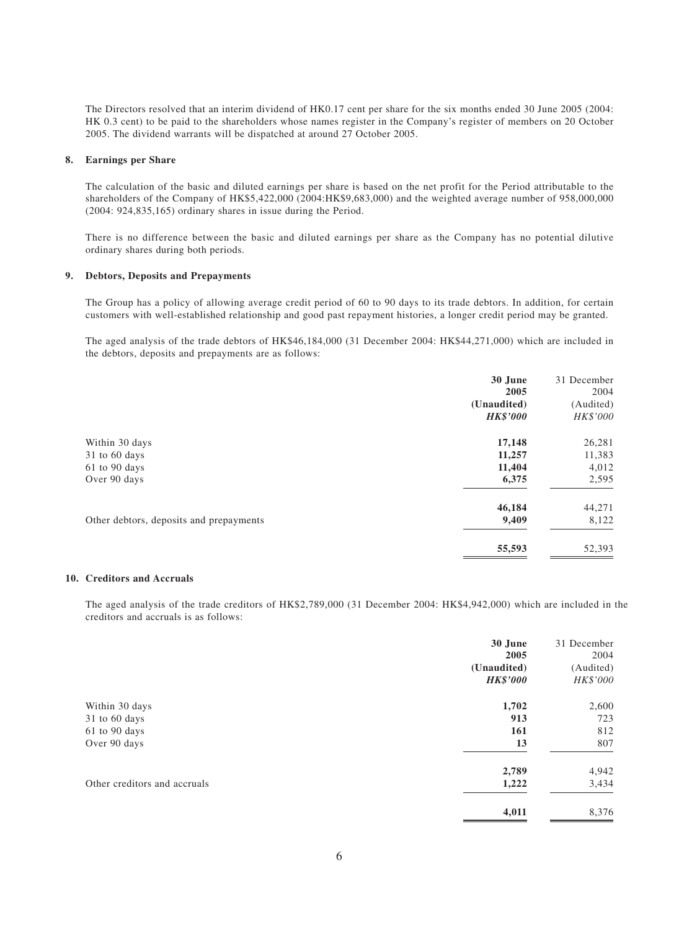The Directors resolved that an interim dividend of HK0.17 cent per share for the six months ended 30 June 2005 (2004: HK 0.3 cent) to be paid to the shareholders whose names register in the Company's register of members on 20 October 2005. The dividend warrants will be dispatched at around 27 October 2005.

#### **8. Earnings per Share**

The calculation of the basic and diluted earnings per share is based on the net profit for the Period attributable to the shareholders of the Company of HK\$5,422,000 (2004:HK\$9,683,000) and the weighted average number of 958,000,000 (2004: 924,835,165) ordinary shares in issue during the Period.

There is no difference between the basic and diluted earnings per share as the Company has no potential dilutive ordinary shares during both periods.

#### **9. Debtors, Deposits and Prepayments**

The Group has a policy of allowing average credit period of 60 to 90 days to its trade debtors. In addition, for certain customers with well-established relationship and good past repayment histories, a longer credit period may be granted.

The aged analysis of the trade debtors of HK\$46,184,000 (31 December 2004: HK\$44,271,000) which are included in the debtors, deposits and prepayments are as follows:

|                                         | 30 June         | 31 December |
|-----------------------------------------|-----------------|-------------|
|                                         | 2005            | 2004        |
|                                         | (Unaudited)     | (Audited)   |
|                                         | <b>HK\$'000</b> | HK\$'000    |
| Within 30 days                          | 17,148          | 26,281      |
| 31 to 60 days                           | 11,257          | 11,383      |
| 61 to 90 days                           | 11,404          | 4,012       |
| Over 90 days                            | 6,375           | 2,595       |
|                                         | 46,184          | 44,271      |
| Other debtors, deposits and prepayments | 9,409           | 8,122       |
|                                         | 55,593          | 52,393      |

#### **10. Creditors and Accruals**

The aged analysis of the trade creditors of HK\$2,789,000 (31 December 2004: HK\$4,942,000) which are included in the creditors and accruals is as follows:

|                              | 30 June         | 31 December |
|------------------------------|-----------------|-------------|
|                              | 2005            | 2004        |
|                              | (Unaudited)     | (Audited)   |
|                              | <b>HK\$'000</b> | HK\$'000    |
| Within 30 days               | 1,702           | 2,600       |
| 31 to 60 days                | 913             | 723         |
| 61 to 90 days                | 161             | 812         |
| Over 90 days                 | 13              | 807         |
|                              | 2,789           | 4,942       |
| Other creditors and accruals | 1,222           | 3,434       |
|                              | 4,011           | 8,376       |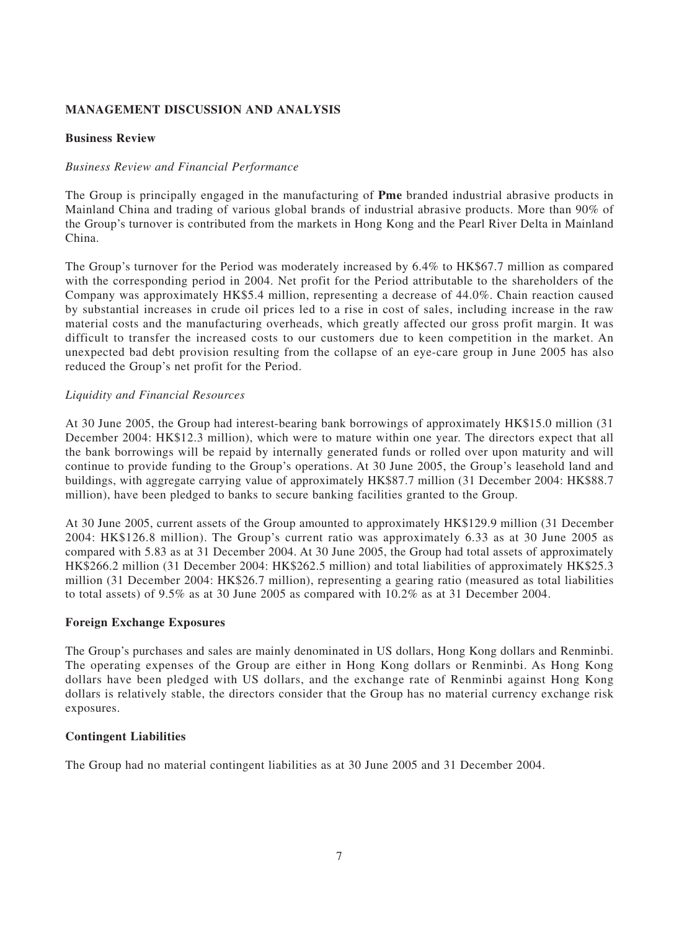# **MANAGEMENT DISCUSSION AND ANALYSIS**

### **Business Review**

### *Business Review and Financial Performance*

The Group is principally engaged in the manufacturing of **Pme** branded industrial abrasive products in Mainland China and trading of various global brands of industrial abrasive products. More than 90% of the Group's turnover is contributed from the markets in Hong Kong and the Pearl River Delta in Mainland China.

The Group's turnover for the Period was moderately increased by 6.4% to HK\$67.7 million as compared with the corresponding period in 2004. Net profit for the Period attributable to the shareholders of the Company was approximately HK\$5.4 million, representing a decrease of 44.0%. Chain reaction caused by substantial increases in crude oil prices led to a rise in cost of sales, including increase in the raw material costs and the manufacturing overheads, which greatly affected our gross profit margin. It was difficult to transfer the increased costs to our customers due to keen competition in the market. An unexpected bad debt provision resulting from the collapse of an eye-care group in June 2005 has also reduced the Group's net profit for the Period.

### *Liquidity and Financial Resources*

At 30 June 2005, the Group had interest-bearing bank borrowings of approximately HK\$15.0 million (31 December 2004: HK\$12.3 million), which were to mature within one year. The directors expect that all the bank borrowings will be repaid by internally generated funds or rolled over upon maturity and will continue to provide funding to the Group's operations. At 30 June 2005, the Group's leasehold land and buildings, with aggregate carrying value of approximately HK\$87.7 million (31 December 2004: HK\$88.7 million), have been pledged to banks to secure banking facilities granted to the Group.

At 30 June 2005, current assets of the Group amounted to approximately HK\$129.9 million (31 December 2004: HK\$126.8 million). The Group's current ratio was approximately 6.33 as at 30 June 2005 as compared with 5.83 as at 31 December 2004. At 30 June 2005, the Group had total assets of approximately HK\$266.2 million (31 December 2004: HK\$262.5 million) and total liabilities of approximately HK\$25.3 million (31 December 2004: HK\$26.7 million), representing a gearing ratio (measured as total liabilities to total assets) of 9.5% as at 30 June 2005 as compared with 10.2% as at 31 December 2004.

### **Foreign Exchange Exposures**

The Group's purchases and sales are mainly denominated in US dollars, Hong Kong dollars and Renminbi. The operating expenses of the Group are either in Hong Kong dollars or Renminbi. As Hong Kong dollars have been pledged with US dollars, and the exchange rate of Renminbi against Hong Kong dollars is relatively stable, the directors consider that the Group has no material currency exchange risk exposures.

### **Contingent Liabilities**

The Group had no material contingent liabilities as at 30 June 2005 and 31 December 2004.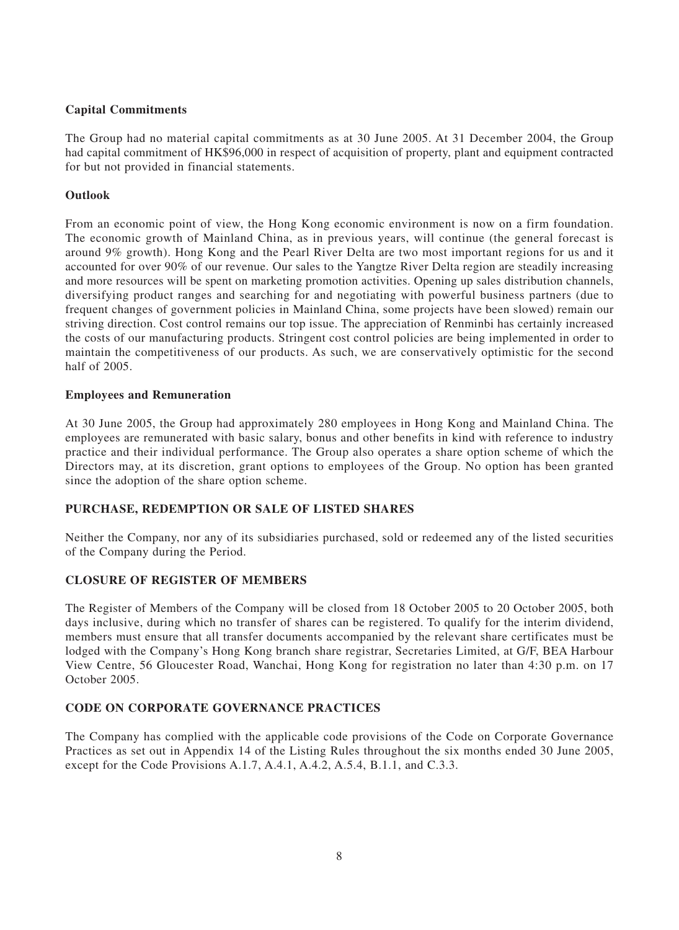# **Capital Commitments**

The Group had no material capital commitments as at 30 June 2005. At 31 December 2004, the Group had capital commitment of HK\$96,000 in respect of acquisition of property, plant and equipment contracted for but not provided in financial statements.

# **Outlook**

From an economic point of view, the Hong Kong economic environment is now on a firm foundation. The economic growth of Mainland China, as in previous years, will continue (the general forecast is around 9% growth). Hong Kong and the Pearl River Delta are two most important regions for us and it accounted for over 90% of our revenue. Our sales to the Yangtze River Delta region are steadily increasing and more resources will be spent on marketing promotion activities. Opening up sales distribution channels, diversifying product ranges and searching for and negotiating with powerful business partners (due to frequent changes of government policies in Mainland China, some projects have been slowed) remain our striving direction. Cost control remains our top issue. The appreciation of Renminbi has certainly increased the costs of our manufacturing products. Stringent cost control policies are being implemented in order to maintain the competitiveness of our products. As such, we are conservatively optimistic for the second half of 2005.

### **Employees and Remuneration**

At 30 June 2005, the Group had approximately 280 employees in Hong Kong and Mainland China. The employees are remunerated with basic salary, bonus and other benefits in kind with reference to industry practice and their individual performance. The Group also operates a share option scheme of which the Directors may, at its discretion, grant options to employees of the Group. No option has been granted since the adoption of the share option scheme.

### **PURCHASE, REDEMPTION OR SALE OF LISTED SHARES**

Neither the Company, nor any of its subsidiaries purchased, sold or redeemed any of the listed securities of the Company during the Period.

### **CLOSURE OF REGISTER OF MEMBERS**

The Register of Members of the Company will be closed from 18 October 2005 to 20 October 2005, both days inclusive, during which no transfer of shares can be registered. To qualify for the interim dividend, members must ensure that all transfer documents accompanied by the relevant share certificates must be lodged with the Company's Hong Kong branch share registrar, Secretaries Limited, at G/F, BEA Harbour View Centre, 56 Gloucester Road, Wanchai, Hong Kong for registration no later than 4:30 p.m. on 17 October 2005.

# **CODE ON CORPORATE GOVERNANCE PRACTICES**

The Company has complied with the applicable code provisions of the Code on Corporate Governance Practices as set out in Appendix 14 of the Listing Rules throughout the six months ended 30 June 2005, except for the Code Provisions A.1.7, A.4.1, A.4.2, A.5.4, B.1.1, and C.3.3.